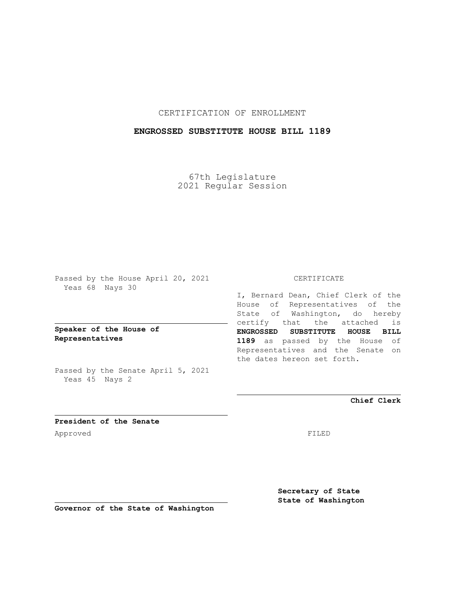CERTIFICATION OF ENROLLMENT

## **ENGROSSED SUBSTITUTE HOUSE BILL 1189**

67th Legislature 2021 Regular Session

Passed by the House April 20, 2021 Yeas 68 Nays 30

**Speaker of the House of Representatives**

Passed by the Senate April 5, 2021 Yeas 45 Nays 2

## CERTIFICATE

I, Bernard Dean, Chief Clerk of the House of Representatives of the State of Washington, do hereby certify that the attached is **ENGROSSED SUBSTITUTE HOUSE BILL 1189** as passed by the House of Representatives and the Senate on the dates hereon set forth.

**Chief Clerk**

**President of the Senate** Approved FILED

**Secretary of State State of Washington**

**Governor of the State of Washington**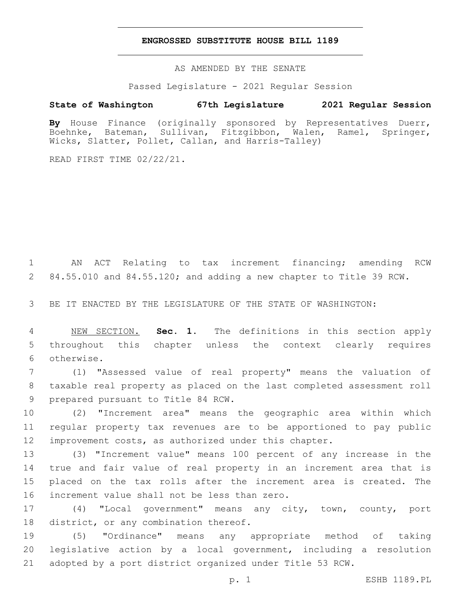## **ENGROSSED SUBSTITUTE HOUSE BILL 1189**

AS AMENDED BY THE SENATE

Passed Legislature - 2021 Regular Session

## **State of Washington 67th Legislature 2021 Regular Session**

**By** House Finance (originally sponsored by Representatives Duerr, Boehnke, Bateman, Sullivan, Fitzgibbon, Walen, Ramel, Springer, Wicks, Slatter, Pollet, Callan, and Harris-Talley)

READ FIRST TIME 02/22/21.

1 AN ACT Relating to tax increment financing; amending RCW 2 84.55.010 and 84.55.120; and adding a new chapter to Title 39 RCW.

3 BE IT ENACTED BY THE LEGISLATURE OF THE STATE OF WASHINGTON:

4 NEW SECTION. **Sec. 1.** The definitions in this section apply 5 throughout this chapter unless the context clearly requires 6 otherwise.

7 (1) "Assessed value of real property" means the valuation of 8 taxable real property as placed on the last completed assessment roll 9 prepared pursuant to Title 84 RCW.

10 (2) "Increment area" means the geographic area within which 11 regular property tax revenues are to be apportioned to pay public 12 improvement costs, as authorized under this chapter.

 (3) "Increment value" means 100 percent of any increase in the true and fair value of real property in an increment area that is placed on the tax rolls after the increment area is created. The 16 increment value shall not be less than zero.

17 (4) "Local government" means any city, town, county, port 18 district, or any combination thereof.

19 (5) "Ordinance" means any appropriate method of taking 20 legislative action by a local government, including a resolution 21 adopted by a port district organized under Title 53 RCW.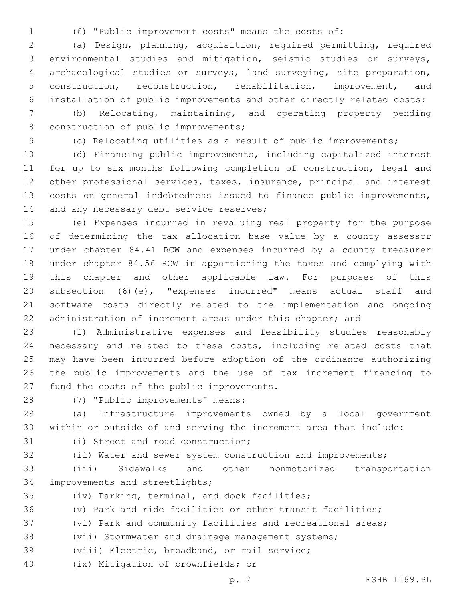(6) "Public improvement costs" means the costs of:

 (a) Design, planning, acquisition, required permitting, required environmental studies and mitigation, seismic studies or surveys, archaeological studies or surveys, land surveying, site preparation, construction, reconstruction, rehabilitation, improvement, and installation of public improvements and other directly related costs;

 (b) Relocating, maintaining, and operating property pending 8 construction of public improvements;

(c) Relocating utilities as a result of public improvements;

 (d) Financing public improvements, including capitalized interest for up to six months following completion of construction, legal and other professional services, taxes, insurance, principal and interest costs on general indebtedness issued to finance public improvements, 14 and any necessary debt service reserves;

 (e) Expenses incurred in revaluing real property for the purpose of determining the tax allocation base value by a county assessor under chapter 84.41 RCW and expenses incurred by a county treasurer under chapter 84.56 RCW in apportioning the taxes and complying with this chapter and other applicable law. For purposes of this subsection (6)(e), "expenses incurred" means actual staff and software costs directly related to the implementation and ongoing administration of increment areas under this chapter; and

 (f) Administrative expenses and feasibility studies reasonably necessary and related to these costs, including related costs that may have been incurred before adoption of the ordinance authorizing the public improvements and the use of tax increment financing to 27 fund the costs of the public improvements.

(7) "Public improvements" means:28

 (a) Infrastructure improvements owned by a local government within or outside of and serving the increment area that include:

- 
- 31 (i) Street and road construction;
- (ii) Water and sewer system construction and improvements;

 (iii) Sidewalks and other nonmotorized transportation 34 improvements and streetlights;

35 (iv) Parking, terminal, and dock facilities;

(v) Park and ride facilities or other transit facilities;

(vi) Park and community facilities and recreational areas;

(vii) Stormwater and drainage management systems;

39 (viii) Electric, broadband, or rail service;

40 (ix) Mitigation of brownfields; or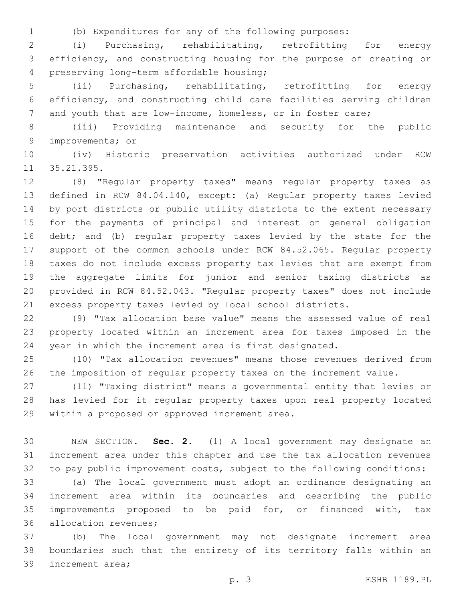(b) Expenditures for any of the following purposes:

 (i) Purchasing, rehabilitating, retrofitting for energy efficiency, and constructing housing for the purpose of creating or 4 preserving long-term affordable housing;

 (ii) Purchasing, rehabilitating, retrofitting for energy efficiency, and constructing child care facilities serving children and youth that are low-income, homeless, or in foster care;

 (iii) Providing maintenance and security for the public 9 improvements; or

 (iv) Historic preservation activities authorized under RCW 11 35.21.395.

 (8) "Regular property taxes" means regular property taxes as defined in RCW 84.04.140, except: (a) Regular property taxes levied by port districts or public utility districts to the extent necessary for the payments of principal and interest on general obligation debt; and (b) regular property taxes levied by the state for the support of the common schools under RCW 84.52.065. Regular property taxes do not include excess property tax levies that are exempt from the aggregate limits for junior and senior taxing districts as provided in RCW 84.52.043. "Regular property taxes" does not include excess property taxes levied by local school districts.

 (9) "Tax allocation base value" means the assessed value of real property located within an increment area for taxes imposed in the year in which the increment area is first designated.

 (10) "Tax allocation revenues" means those revenues derived from the imposition of regular property taxes on the increment value.

 (11) "Taxing district" means a governmental entity that levies or has levied for it regular property taxes upon real property located 29 within a proposed or approved increment area.

 NEW SECTION. **Sec. 2.** (1) A local government may designate an increment area under this chapter and use the tax allocation revenues to pay public improvement costs, subject to the following conditions:

 (a) The local government must adopt an ordinance designating an increment area within its boundaries and describing the public improvements proposed to be paid for, or financed with, tax 36 allocation revenues;

 (b) The local government may not designate increment area boundaries such that the entirety of its territory falls within an 39 increment area;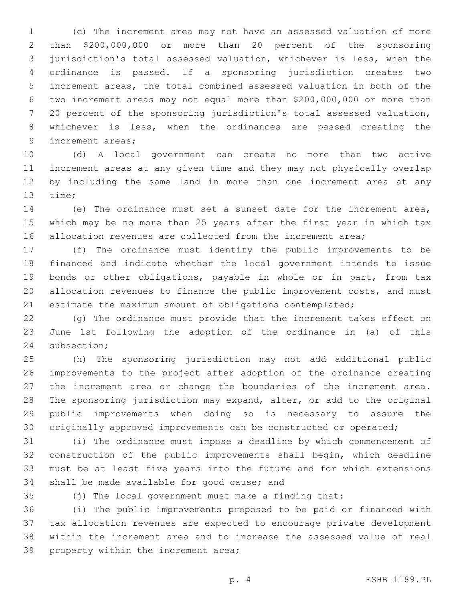(c) The increment area may not have an assessed valuation of more than \$200,000,000 or more than 20 percent of the sponsoring jurisdiction's total assessed valuation, whichever is less, when the ordinance is passed. If a sponsoring jurisdiction creates two increment areas, the total combined assessed valuation in both of the two increment areas may not equal more than \$200,000,000 or more than 20 percent of the sponsoring jurisdiction's total assessed valuation, whichever is less, when the ordinances are passed creating the 9 increment areas;

 (d) A local government can create no more than two active increment areas at any given time and they may not physically overlap by including the same land in more than one increment area at any 13 time;

 (e) The ordinance must set a sunset date for the increment area, which may be no more than 25 years after the first year in which tax 16 allocation revenues are collected from the increment area;

 (f) The ordinance must identify the public improvements to be financed and indicate whether the local government intends to issue bonds or other obligations, payable in whole or in part, from tax allocation revenues to finance the public improvement costs, and must 21 estimate the maximum amount of obligations contemplated;

 (g) The ordinance must provide that the increment takes effect on June 1st following the adoption of the ordinance in (a) of this 24 subsection;

 (h) The sponsoring jurisdiction may not add additional public improvements to the project after adoption of the ordinance creating the increment area or change the boundaries of the increment area. The sponsoring jurisdiction may expand, alter, or add to the original public improvements when doing so is necessary to assure the originally approved improvements can be constructed or operated;

 (i) The ordinance must impose a deadline by which commencement of construction of the public improvements shall begin, which deadline must be at least five years into the future and for which extensions 34 shall be made available for good cause; and

(j) The local government must make a finding that:

 (i) The public improvements proposed to be paid or financed with tax allocation revenues are expected to encourage private development within the increment area and to increase the assessed value of real 39 property within the increment area;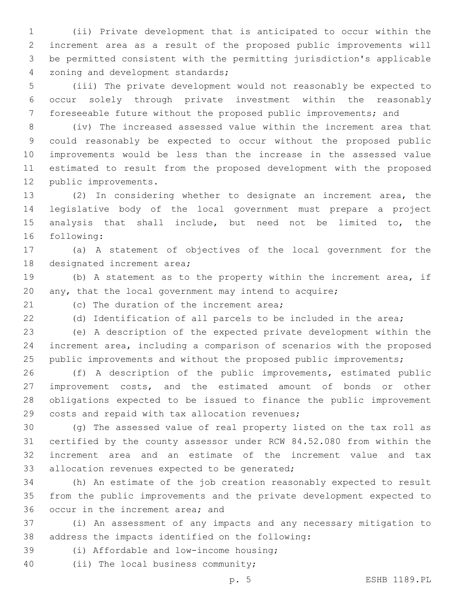(ii) Private development that is anticipated to occur within the increment area as a result of the proposed public improvements will be permitted consistent with the permitting jurisdiction's applicable 4 zoning and development standards;

 (iii) The private development would not reasonably be expected to occur solely through private investment within the reasonably foreseeable future without the proposed public improvements; and

 (iv) The increased assessed value within the increment area that could reasonably be expected to occur without the proposed public improvements would be less than the increase in the assessed value estimated to result from the proposed development with the proposed 12 public improvements.

 (2) In considering whether to designate an increment area, the legislative body of the local government must prepare a project analysis that shall include, but need not be limited to, the 16 following:

 (a) A statement of objectives of the local government for the 18 designated increment area;

 (b) A statement as to the property within the increment area, if any, that the local government may intend to acquire;

21 (c) The duration of the increment area;

(d) Identification of all parcels to be included in the area;

 (e) A description of the expected private development within the increment area, including a comparison of scenarios with the proposed 25 public improvements and without the proposed public improvements;

 (f) A description of the public improvements, estimated public improvement costs, and the estimated amount of bonds or other obligations expected to be issued to finance the public improvement 29 costs and repaid with tax allocation revenues;

 (g) The assessed value of real property listed on the tax roll as certified by the county assessor under RCW 84.52.080 from within the increment area and an estimate of the increment value and tax 33 allocation revenues expected to be generated;

 (h) An estimate of the job creation reasonably expected to result from the public improvements and the private development expected to 36 occur in the increment area; and

 (i) An assessment of any impacts and any necessary mitigation to 38 address the impacts identified on the following:

39 (i) Affordable and low-income housing;

40 (ii) The local business community;

p. 5 ESHB 1189.PL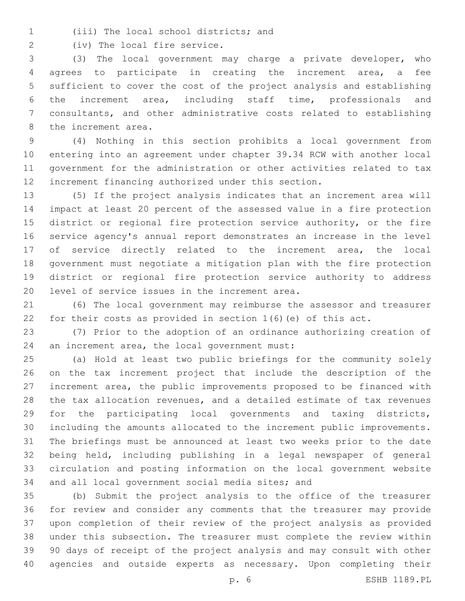(iii) The local school districts; and1

2 (iv) The local fire service.

 (3) The local government may charge a private developer, who agrees to participate in creating the increment area, a fee sufficient to cover the cost of the project analysis and establishing the increment area, including staff time, professionals and consultants, and other administrative costs related to establishing 8 the increment area.

 (4) Nothing in this section prohibits a local government from entering into an agreement under chapter 39.34 RCW with another local government for the administration or other activities related to tax increment financing authorized under this section.

 (5) If the project analysis indicates that an increment area will impact at least 20 percent of the assessed value in a fire protection district or regional fire protection service authority, or the fire service agency's annual report demonstrates an increase in the level 17 of service directly related to the increment area, the local government must negotiate a mitigation plan with the fire protection district or regional fire protection service authority to address 20 level of service issues in the increment area.

 (6) The local government may reimburse the assessor and treasurer for their costs as provided in section 1(6)(e) of this act.

 (7) Prior to the adoption of an ordinance authorizing creation of 24 an increment area, the local government must:

 (a) Hold at least two public briefings for the community solely on the tax increment project that include the description of the increment area, the public improvements proposed to be financed with the tax allocation revenues, and a detailed estimate of tax revenues for the participating local governments and taxing districts, including the amounts allocated to the increment public improvements. The briefings must be announced at least two weeks prior to the date being held, including publishing in a legal newspaper of general circulation and posting information on the local government website 34 and all local government social media sites; and

 (b) Submit the project analysis to the office of the treasurer for review and consider any comments that the treasurer may provide upon completion of their review of the project analysis as provided under this subsection. The treasurer must complete the review within 90 days of receipt of the project analysis and may consult with other agencies and outside experts as necessary. Upon completing their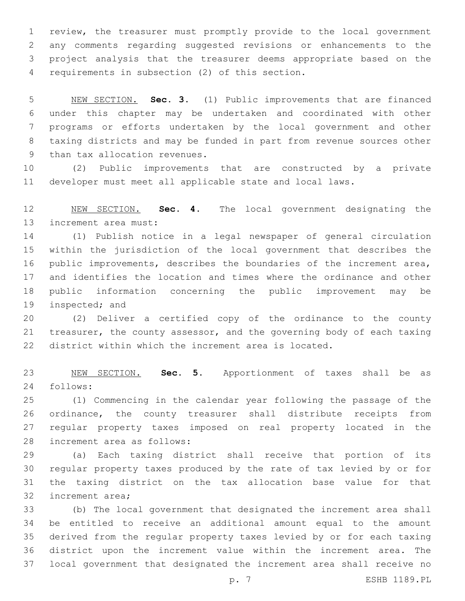review, the treasurer must promptly provide to the local government any comments regarding suggested revisions or enhancements to the project analysis that the treasurer deems appropriate based on the 4 requirements in subsection (2) of this section.

 NEW SECTION. **Sec. 3.** (1) Public improvements that are financed under this chapter may be undertaken and coordinated with other programs or efforts undertaken by the local government and other taxing districts and may be funded in part from revenue sources other than tax allocation revenues.

 (2) Public improvements that are constructed by a private developer must meet all applicable state and local laws.

 NEW SECTION. **Sec. 4.** The local government designating the increment area must:

 (1) Publish notice in a legal newspaper of general circulation within the jurisdiction of the local government that describes the public improvements, describes the boundaries of the increment area, and identifies the location and times where the ordinance and other public information concerning the public improvement may be 19 inspected; and

 (2) Deliver a certified copy of the ordinance to the county treasurer, the county assessor, and the governing body of each taxing district within which the increment area is located.

 NEW SECTION. **Sec. 5.** Apportionment of taxes shall be as follows:

 (1) Commencing in the calendar year following the passage of the ordinance, the county treasurer shall distribute receipts from regular property taxes imposed on real property located in the 28 increment area as follows:

 (a) Each taxing district shall receive that portion of its regular property taxes produced by the rate of tax levied by or for the taxing district on the tax allocation base value for that 32 increment area;

 (b) The local government that designated the increment area shall be entitled to receive an additional amount equal to the amount derived from the regular property taxes levied by or for each taxing district upon the increment value within the increment area. The local government that designated the increment area shall receive no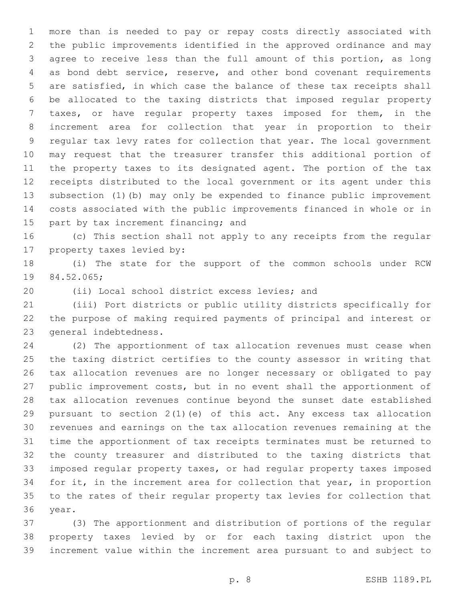more than is needed to pay or repay costs directly associated with the public improvements identified in the approved ordinance and may agree to receive less than the full amount of this portion, as long as bond debt service, reserve, and other bond covenant requirements are satisfied, in which case the balance of these tax receipts shall be allocated to the taxing districts that imposed regular property taxes, or have regular property taxes imposed for them, in the increment area for collection that year in proportion to their regular tax levy rates for collection that year. The local government may request that the treasurer transfer this additional portion of the property taxes to its designated agent. The portion of the tax receipts distributed to the local government or its agent under this subsection (1)(b) may only be expended to finance public improvement costs associated with the public improvements financed in whole or in 15 part by tax increment financing; and

 (c) This section shall not apply to any receipts from the regular 17 property taxes levied by:

 (i) The state for the support of the common schools under RCW 19 84.52.065;

20 (ii) Local school district excess levies; and

 (iii) Port districts or public utility districts specifically for the purpose of making required payments of principal and interest or 23 general indebtedness.

 (2) The apportionment of tax allocation revenues must cease when the taxing district certifies to the county assessor in writing that tax allocation revenues are no longer necessary or obligated to pay public improvement costs, but in no event shall the apportionment of tax allocation revenues continue beyond the sunset date established pursuant to section 2(1)(e) of this act. Any excess tax allocation revenues and earnings on the tax allocation revenues remaining at the time the apportionment of tax receipts terminates must be returned to the county treasurer and distributed to the taxing districts that imposed regular property taxes, or had regular property taxes imposed for it, in the increment area for collection that year, in proportion to the rates of their regular property tax levies for collection that 36 year.

 (3) The apportionment and distribution of portions of the regular property taxes levied by or for each taxing district upon the increment value within the increment area pursuant to and subject to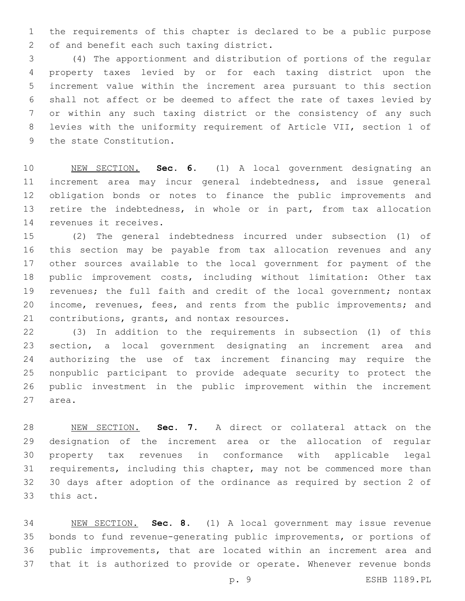the requirements of this chapter is declared to be a public purpose 2 of and benefit each such taxing district.

 (4) The apportionment and distribution of portions of the regular property taxes levied by or for each taxing district upon the increment value within the increment area pursuant to this section shall not affect or be deemed to affect the rate of taxes levied by or within any such taxing district or the consistency of any such levies with the uniformity requirement of Article VII, section 1 of 9 the state Constitution.

 NEW SECTION. **Sec. 6.** (1) A local government designating an increment area may incur general indebtedness, and issue general obligation bonds or notes to finance the public improvements and retire the indebtedness, in whole or in part, from tax allocation revenues it receives.

 (2) The general indebtedness incurred under subsection (1) of this section may be payable from tax allocation revenues and any other sources available to the local government for payment of the public improvement costs, including without limitation: Other tax revenues; the full faith and credit of the local government; nontax income, revenues, fees, and rents from the public improvements; and 21 contributions, grants, and nontax resources.

 (3) In addition to the requirements in subsection (1) of this section, a local government designating an increment area and authorizing the use of tax increment financing may require the nonpublic participant to provide adequate security to protect the public investment in the public improvement within the increment 27 area.

 NEW SECTION. **Sec. 7.** A direct or collateral attack on the designation of the increment area or the allocation of regular property tax revenues in conformance with applicable legal requirements, including this chapter, may not be commenced more than 30 days after adoption of the ordinance as required by section 2 of this act.

 NEW SECTION. **Sec. 8.** (1) A local government may issue revenue bonds to fund revenue-generating public improvements, or portions of public improvements, that are located within an increment area and that it is authorized to provide or operate. Whenever revenue bonds

p. 9 ESHB 1189.PL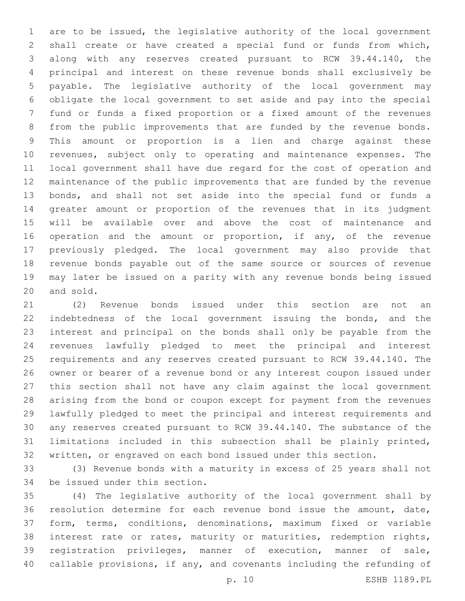are to be issued, the legislative authority of the local government shall create or have created a special fund or funds from which, along with any reserves created pursuant to RCW 39.44.140, the principal and interest on these revenue bonds shall exclusively be payable. The legislative authority of the local government may obligate the local government to set aside and pay into the special fund or funds a fixed proportion or a fixed amount of the revenues from the public improvements that are funded by the revenue bonds. This amount or proportion is a lien and charge against these revenues, subject only to operating and maintenance expenses. The local government shall have due regard for the cost of operation and maintenance of the public improvements that are funded by the revenue bonds, and shall not set aside into the special fund or funds a greater amount or proportion of the revenues that in its judgment will be available over and above the cost of maintenance and 16 operation and the amount or proportion, if any, of the revenue previously pledged. The local government may also provide that revenue bonds payable out of the same source or sources of revenue may later be issued on a parity with any revenue bonds being issued 20 and sold.

 (2) Revenue bonds issued under this section are not an 22 indebtedness of the local government issuing the bonds, and the interest and principal on the bonds shall only be payable from the revenues lawfully pledged to meet the principal and interest requirements and any reserves created pursuant to RCW 39.44.140. The owner or bearer of a revenue bond or any interest coupon issued under this section shall not have any claim against the local government arising from the bond or coupon except for payment from the revenues lawfully pledged to meet the principal and interest requirements and any reserves created pursuant to RCW 39.44.140. The substance of the limitations included in this subsection shall be plainly printed, written, or engraved on each bond issued under this section.

 (3) Revenue bonds with a maturity in excess of 25 years shall not 34 be issued under this section.

 (4) The legislative authority of the local government shall by resolution determine for each revenue bond issue the amount, date, form, terms, conditions, denominations, maximum fixed or variable interest rate or rates, maturity or maturities, redemption rights, registration privileges, manner of execution, manner of sale, callable provisions, if any, and covenants including the refunding of

p. 10 ESHB 1189.PL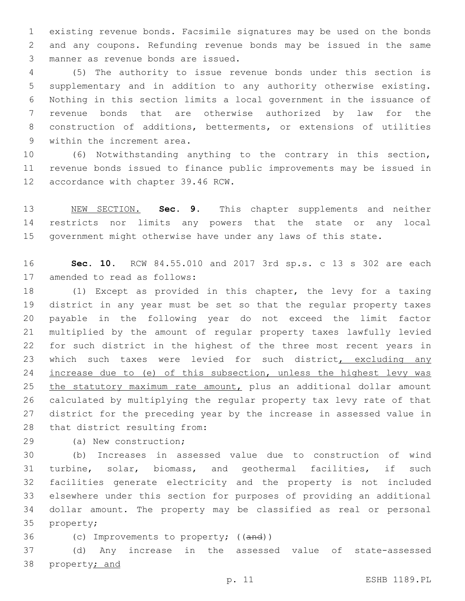existing revenue bonds. Facsimile signatures may be used on the bonds and any coupons. Refunding revenue bonds may be issued in the same 3 manner as revenue bonds are issued.

 (5) The authority to issue revenue bonds under this section is supplementary and in addition to any authority otherwise existing. Nothing in this section limits a local government in the issuance of revenue bonds that are otherwise authorized by law for the construction of additions, betterments, or extensions of utilities 9 within the increment area.

 (6) Notwithstanding anything to the contrary in this section, revenue bonds issued to finance public improvements may be issued in 12 accordance with chapter 39.46 RCW.

 NEW SECTION. **Sec. 9.** This chapter supplements and neither restricts nor limits any powers that the state or any local government might otherwise have under any laws of this state.

 **Sec. 10.** RCW 84.55.010 and 2017 3rd sp.s. c 13 s 302 are each 17 amended to read as follows:

 (1) Except as provided in this chapter, the levy for a taxing district in any year must be set so that the regular property taxes payable in the following year do not exceed the limit factor multiplied by the amount of regular property taxes lawfully levied for such district in the highest of the three most recent years in 23 which such taxes were levied for such district, excluding any 24 increase due to (e) of this subsection, unless the highest levy was 25 the statutory maximum rate amount, plus an additional dollar amount calculated by multiplying the regular property tax levy rate of that district for the preceding year by the increase in assessed value in 28 that district resulting from:

29 (a) New construction;

 (b) Increases in assessed value due to construction of wind turbine, solar, biomass, and geothermal facilities, if such facilities generate electricity and the property is not included elsewhere under this section for purposes of providing an additional dollar amount. The property may be classified as real or personal 35 property;

(c) Improvements to property; ((and))

 (d) Any increase in the assessed value of state-assessed property; and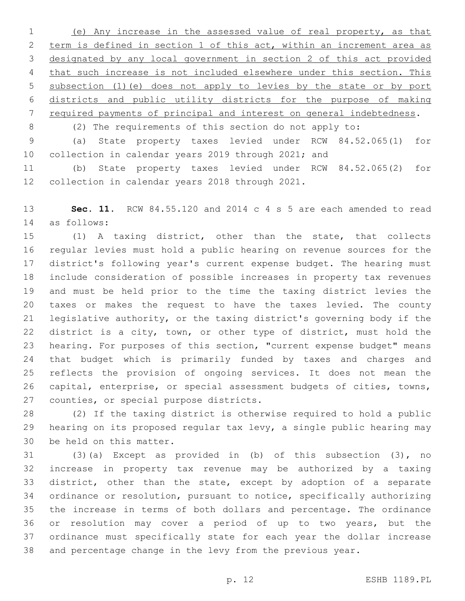(e) Any increase in the assessed value of real property, as that term is defined in section 1 of this act, within an increment area as designated by any local government in section 2 of this act provided that such increase is not included elsewhere under this section. This subsection (1)(e) does not apply to levies by the state or by port districts and public utility districts for the purpose of making required payments of principal and interest on general indebtedness.

(2) The requirements of this section do not apply to:

 (a) State property taxes levied under RCW 84.52.065(1) for 10 collection in calendar years 2019 through 2021; and

 (b) State property taxes levied under RCW 84.52.065(2) for 12 collection in calendar years 2018 through 2021.

 **Sec. 11.** RCW 84.55.120 and 2014 c 4 s 5 are each amended to read as follows:14

 (1) A taxing district, other than the state, that collects regular levies must hold a public hearing on revenue sources for the district's following year's current expense budget. The hearing must include consideration of possible increases in property tax revenues and must be held prior to the time the taxing district levies the taxes or makes the request to have the taxes levied. The county legislative authority, or the taxing district's governing body if the district is a city, town, or other type of district, must hold the hearing. For purposes of this section, "current expense budget" means that budget which is primarily funded by taxes and charges and reflects the provision of ongoing services. It does not mean the capital, enterprise, or special assessment budgets of cities, towns, 27 counties, or special purpose districts.

 (2) If the taxing district is otherwise required to hold a public hearing on its proposed regular tax levy, a single public hearing may 30 be held on this matter.

 (3)(a) Except as provided in (b) of this subsection (3), no increase in property tax revenue may be authorized by a taxing district, other than the state, except by adoption of a separate ordinance or resolution, pursuant to notice, specifically authorizing the increase in terms of both dollars and percentage. The ordinance or resolution may cover a period of up to two years, but the ordinance must specifically state for each year the dollar increase and percentage change in the levy from the previous year.